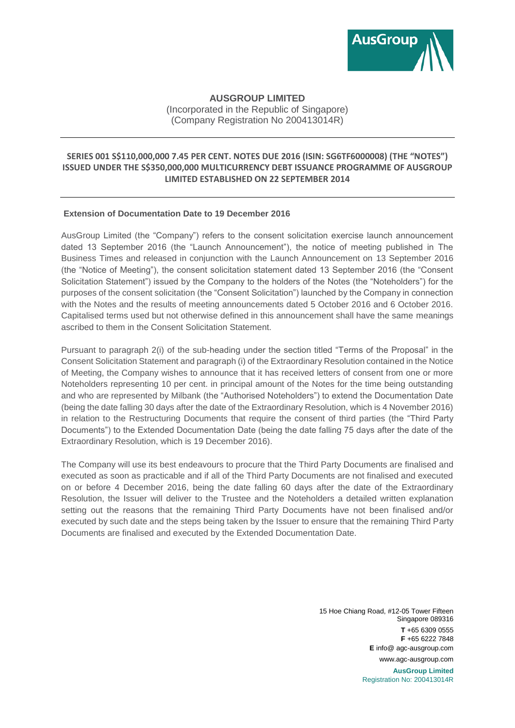

# **AUSGROUP LIMITED**

(Incorporated in the Republic of Singapore) (Company Registration No 200413014R)

## **SERIES 001 S\$110,000,000 7.45 PER CENT. NOTES DUE 2016 (ISIN: SG6TF6000008) (THE "NOTES") ISSUED UNDER THE S\$350,000,000 MULTICURRENCY DEBT ISSUANCE PROGRAMME OF AUSGROUP LIMITED ESTABLISHED ON 22 SEPTEMBER 2014**

## **Extension of Documentation Date to 19 December 2016**

AusGroup Limited (the "Company") refers to the consent solicitation exercise launch announcement dated 13 September 2016 (the "Launch Announcement"), the notice of meeting published in The Business Times and released in conjunction with the Launch Announcement on 13 September 2016 (the "Notice of Meeting"), the consent solicitation statement dated 13 September 2016 (the "Consent Solicitation Statement") issued by the Company to the holders of the Notes (the "Noteholders") for the purposes of the consent solicitation (the "Consent Solicitation") launched by the Company in connection with the Notes and the results of meeting announcements dated 5 October 2016 and 6 October 2016. Capitalised terms used but not otherwise defined in this announcement shall have the same meanings ascribed to them in the Consent Solicitation Statement.

Pursuant to paragraph 2(i) of the sub-heading under the section titled "Terms of the Proposal" in the Consent Solicitation Statement and paragraph (i) of the Extraordinary Resolution contained in the Notice of Meeting, the Company wishes to announce that it has received letters of consent from one or more Noteholders representing 10 per cent. in principal amount of the Notes for the time being outstanding and who are represented by Milbank (the "Authorised Noteholders") to extend the Documentation Date (being the date falling 30 days after the date of the Extraordinary Resolution, which is 4 November 2016) in relation to the Restructuring Documents that require the consent of third parties (the "Third Party Documents") to the Extended Documentation Date (being the date falling 75 days after the date of the Extraordinary Resolution, which is 19 December 2016).

The Company will use its best endeavours to procure that the Third Party Documents are finalised and executed as soon as practicable and if all of the Third Party Documents are not finalised and executed on or before 4 December 2016, being the date falling 60 days after the date of the Extraordinary Resolution, the Issuer will deliver to the Trustee and the Noteholders a detailed written explanation setting out the reasons that the remaining Third Party Documents have not been finalised and/or executed by such date and the steps being taken by the Issuer to ensure that the remaining Third Party Documents are finalised and executed by the Extended Documentation Date.

> 15 Hoe Chiang Road, #12-05 Tower Fifteen Singapore 089316 **T** +65 6309 0555 **F** +65 6222 7848 **E** info@ agc-ausgroup.com www.agc-ausgroup.com **AusGroup Limited** Registration No: 200413014R